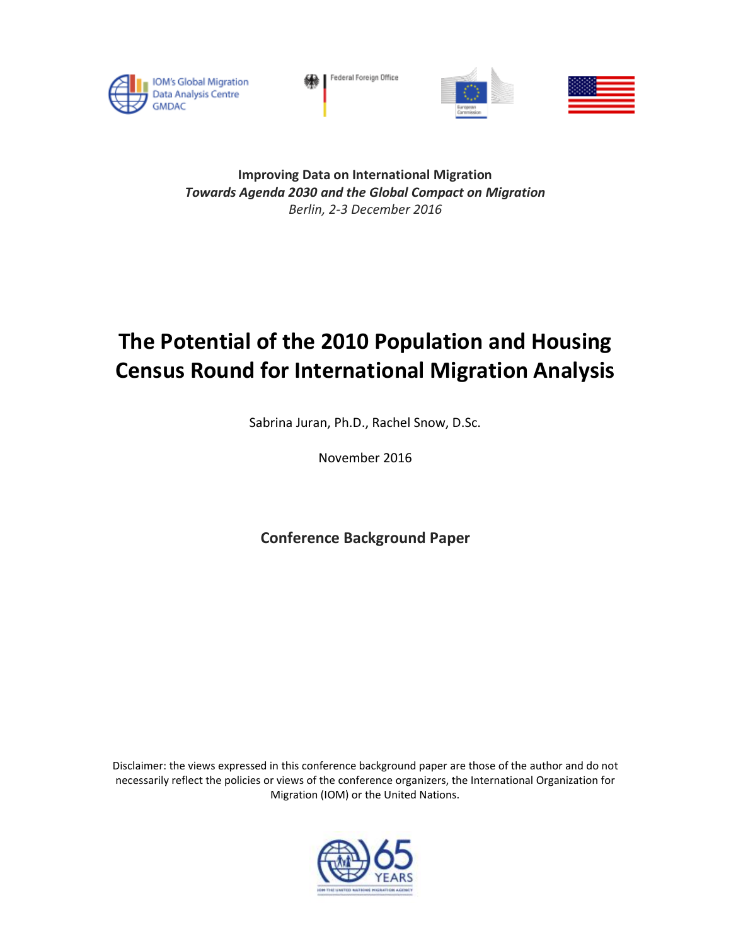

Federal Foreign Office





**Improving Data on International Migration** *Towards Agenda 2030 and the Global Compact on Migration Berlin, 2-3 December 2016*

# **The Potential of the 2010 Population and Housing Census Round for International Migration Analysis**

Sabrina Juran, Ph.D., Rachel Snow, D.Sc.

November 2016

**Conference Background Paper**

Disclaimer: the views expressed in this conference background paper are those of the author and do not necessarily reflect the policies or views of the conference organizers, the International Organization for Migration (IOM) or the United Nations.

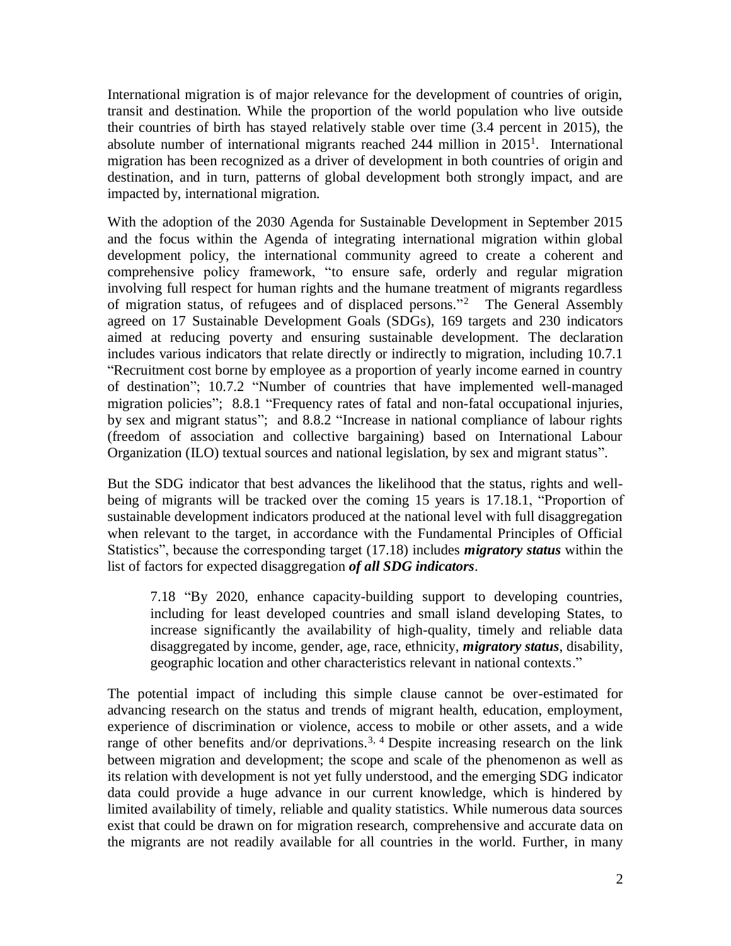International migration is of major relevance for the development of countries of origin, transit and destination. While the proportion of the world population who live outside their countries of birth has stayed relatively stable over time (3.4 percent in 2015), the absolute number of international migrants reached 244 million in 2015<sup>1</sup>. International migration has been recognized as a driver of development in both countries of origin and destination, and in turn, patterns of global development both strongly impact, and are impacted by, international migration.

With the adoption of the 2030 Agenda for Sustainable Development in September 2015 and the focus within the Agenda of integrating international migration within global development policy, the international community agreed to create a coherent and comprehensive policy framework, "to ensure safe, orderly and regular migration involving full respect for human rights and the humane treatment of migrants regardless of migration status, of refugees and of displaced persons." 2 The General Assembly agreed on 17 Sustainable Development Goals (SDGs), 169 targets and 230 indicators aimed at reducing poverty and ensuring sustainable development. The declaration includes various indicators that relate directly or indirectly to migration, including 10.7.1 "Recruitment cost borne by employee as a proportion of yearly income earned in country of destination"; 10.7.2 "Number of countries that have implemented well-managed migration policies"; 8.8.1 "Frequency rates of fatal and non-fatal occupational injuries, by sex and migrant status"; and 8.8.2 "Increase in national compliance of labour rights (freedom of association and collective bargaining) based on International Labour Organization (ILO) textual sources and national legislation, by sex and migrant status".

But the SDG indicator that best advances the likelihood that the status, rights and wellbeing of migrants will be tracked over the coming 15 years is 17.18.1, "Proportion of sustainable development indicators produced at the national level with full disaggregation when relevant to the target, in accordance with the Fundamental Principles of Official Statistics", because the corresponding target (17.18) includes *migratory status* within the list of factors for expected disaggregation *of all SDG indicators*.

7.18 "By 2020, enhance capacity-building support to developing countries, including for least developed countries and small island developing States, to increase significantly the availability of high-quality, timely and reliable data disaggregated by income, gender, age, race, ethnicity, *migratory status*, disability, geographic location and other characteristics relevant in national contexts."

The potential impact of including this simple clause cannot be over-estimated for advancing research on the status and trends of migrant health, education, employment, experience of discrimination or violence, access to mobile or other assets, and a wide range of other benefits and/or deprivations.<sup>3, 4</sup> Despite increasing research on the link between migration and development; the scope and scale of the phenomenon as well as its relation with development is not yet fully understood, and the emerging SDG indicator data could provide a huge advance in our current knowledge, which is hindered by limited availability of timely, reliable and quality statistics. While numerous data sources exist that could be drawn on for migration research, comprehensive and accurate data on the migrants are not readily available for all countries in the world. Further, in many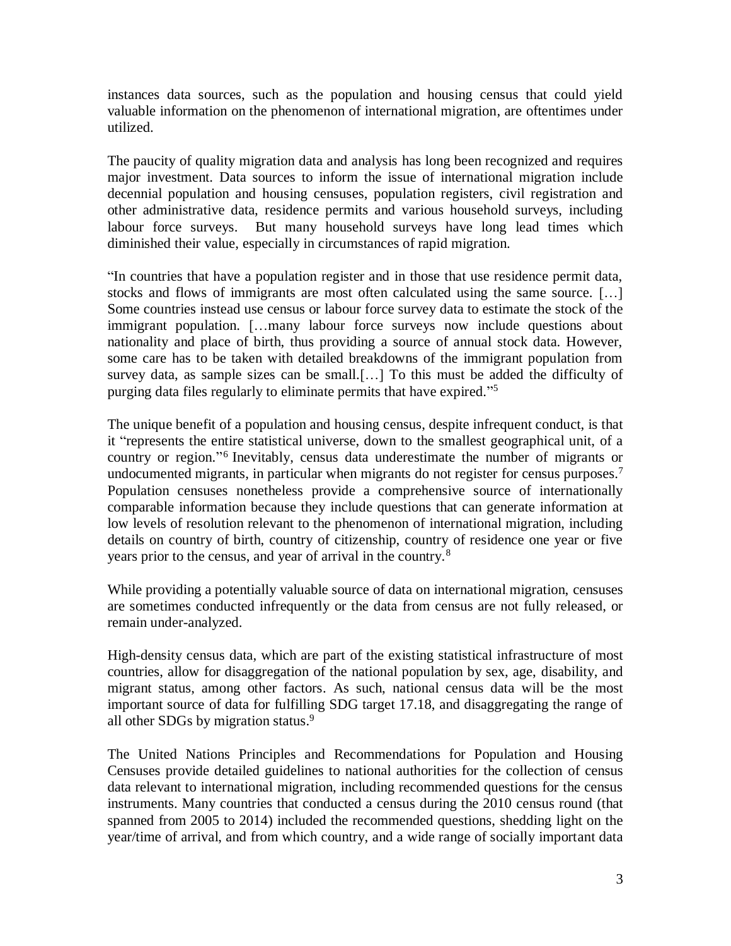instances data sources, such as the population and housing census that could yield valuable information on the phenomenon of international migration, are oftentimes under utilized.

The paucity of quality migration data and analysis has long been recognized and requires major investment. Data sources to inform the issue of international migration include decennial population and housing censuses, population registers, civil registration and other administrative data, residence permits and various household surveys, including labour force surveys. But many household surveys have long lead times which diminished their value, especially in circumstances of rapid migration.

"In countries that have a population register and in those that use residence permit data, stocks and flows of immigrants are most often calculated using the same source. […] Some countries instead use census or labour force survey data to estimate the stock of the immigrant population. […many labour force surveys now include questions about nationality and place of birth, thus providing a source of annual stock data. However, some care has to be taken with detailed breakdowns of the immigrant population from survey data, as sample sizes can be small.[…] To this must be added the difficulty of purging data files regularly to eliminate permits that have expired." 5

The unique benefit of a population and housing census, despite infrequent conduct, is that it "represents the entire statistical universe, down to the smallest geographical unit, of a country or region." 6 Inevitably, census data underestimate the number of migrants or undocumented migrants, in particular when migrants do not register for census purposes.<sup>7</sup> Population censuses nonetheless provide a comprehensive source of internationally comparable information because they include questions that can generate information at low levels of resolution relevant to the phenomenon of international migration, including details on country of birth, country of citizenship, country of residence one year or five years prior to the census, and year of arrival in the country.<sup>8</sup>

While providing a potentially valuable source of data on international migration, censuses are sometimes conducted infrequently or the data from census are not fully released, or remain under-analyzed.

High-density census data, which are part of the existing statistical infrastructure of most countries, allow for disaggregation of the national population by sex, age, disability, and migrant status, among other factors. As such, national census data will be the most important source of data for fulfilling SDG target 17.18, and disaggregating the range of all other SDGs by migration status.<sup>9</sup>

The United Nations Principles and Recommendations for Population and Housing Censuses provide detailed guidelines to national authorities for the collection of census data relevant to international migration, including recommended questions for the census instruments. Many countries that conducted a census during the 2010 census round (that spanned from 2005 to 2014) included the recommended questions, shedding light on the year/time of arrival, and from which country, and a wide range of socially important data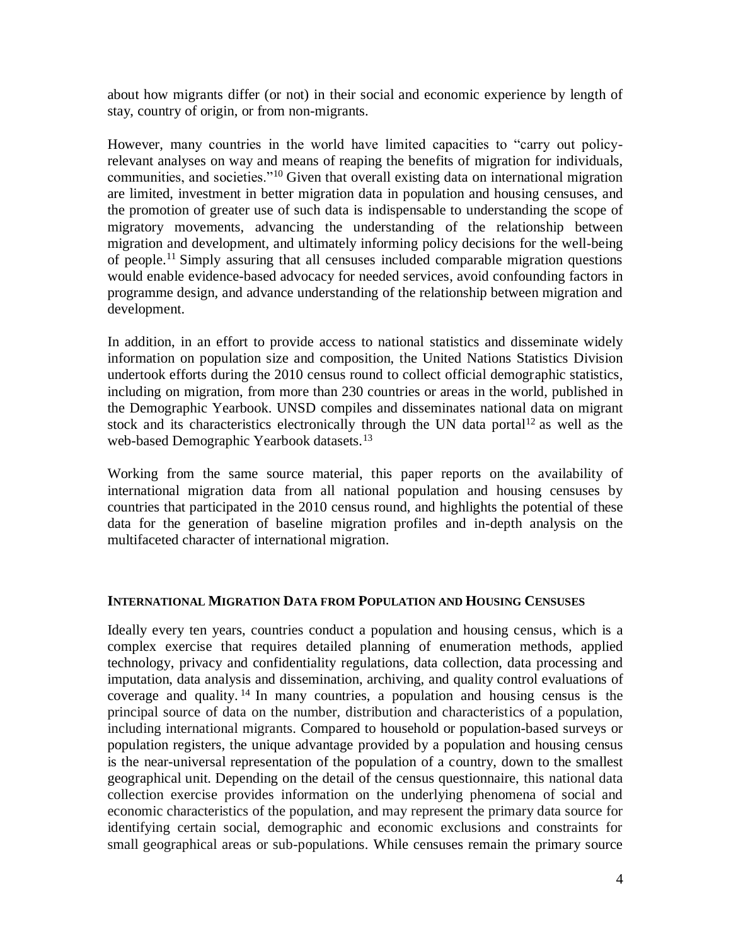about how migrants differ (or not) in their social and economic experience by length of stay, country of origin, or from non-migrants.

However, many countries in the world have limited capacities to "carry out policyrelevant analyses on way and means of reaping the benefits of migration for individuals, communities, and societies."<sup>10</sup> Given that overall existing data on international migration are limited, investment in better migration data in population and housing censuses, and the promotion of greater use of such data is indispensable to understanding the scope of migratory movements, advancing the understanding of the relationship between migration and development, and ultimately informing policy decisions for the well-being of people. <sup>11</sup> Simply assuring that all censuses included comparable migration questions would enable evidence-based advocacy for needed services, avoid confounding factors in programme design, and advance understanding of the relationship between migration and development.

In addition, in an effort to provide access to national statistics and disseminate widely information on population size and composition, the United Nations Statistics Division undertook efforts during the 2010 census round to collect official demographic statistics, including on migration, from more than 230 countries or areas in the world, published in the Demographic Yearbook. UNSD compiles and disseminates national data on migrant stock and its characteristics electronically through the UN data portal<sup>12</sup> as well as the web-based Demographic Yearbook datasets.<sup>13</sup>

Working from the same source material, this paper reports on the availability of international migration data from all national population and housing censuses by countries that participated in the 2010 census round, and highlights the potential of these data for the generation of baseline migration profiles and in-depth analysis on the multifaceted character of international migration.

#### **INTERNATIONAL MIGRATION DATA FROM POPULATION AND HOUSING CENSUSES**

Ideally every ten years, countries conduct a population and housing census, which is a complex exercise that requires detailed planning of enumeration methods, applied technology, privacy and confidentiality regulations, data collection, data processing and imputation, data analysis and dissemination, archiving, and quality control evaluations of coverage and quality. <sup>14</sup> In many countries, a population and housing census is the principal source of data on the number, distribution and characteristics of a population, including international migrants. Compared to household or population-based surveys or population registers, the unique advantage provided by a population and housing census is the near-universal representation of the population of a country, down to the smallest geographical unit. Depending on the detail of the census questionnaire, this national data collection exercise provides information on the underlying phenomena of social and economic characteristics of the population, and may represent the primary data source for identifying certain social, demographic and economic exclusions and constraints for small geographical areas or sub-populations. While censuses remain the primary source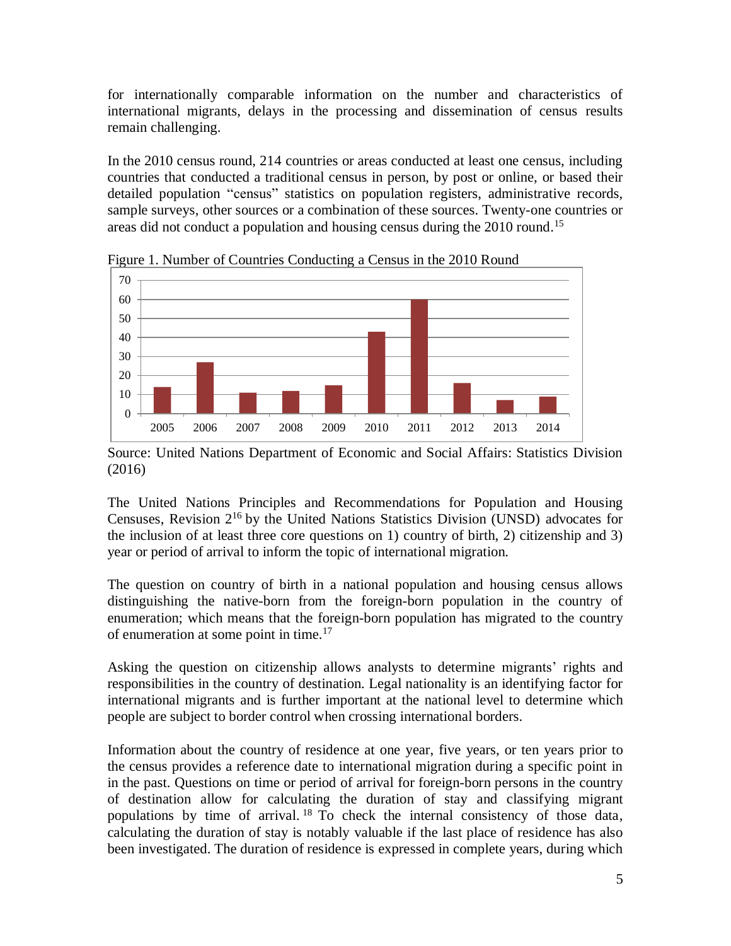for internationally comparable information on the number and characteristics of international migrants, delays in the processing and dissemination of census results remain challenging.

In the 2010 census round, 214 countries or areas conducted at least one census, including countries that conducted a traditional census in person, by post or online, or based their detailed population "census" statistics on population registers, administrative records, sample surveys, other sources or a combination of these sources. Twenty-one countries or areas did not conduct a population and housing census during the 2010 round.<sup>15</sup>



Figure 1. Number of Countries Conducting a Census in the 2010 Round

The United Nations Principles and Recommendations for Population and Housing Censuses, Revision 2<sup>16</sup> by the United Nations Statistics Division (UNSD) advocates for the inclusion of at least three core questions on 1) country of birth, 2) citizenship and 3) year or period of arrival to inform the topic of international migration.

The question on country of birth in a national population and housing census allows distinguishing the native-born from the foreign-born population in the country of enumeration; which means that the foreign-born population has migrated to the country of enumeration at some point in time. 17

Asking the question on citizenship allows analysts to determine migrants' rights and responsibilities in the country of destination. Legal nationality is an identifying factor for international migrants and is further important at the national level to determine which people are subject to border control when crossing international borders.

Information about the country of residence at one year, five years, or ten years prior to the census provides a reference date to international migration during a specific point in in the past. Questions on time or period of arrival for foreign-born persons in the country of destination allow for calculating the duration of stay and classifying migrant populations by time of arrival. <sup>18</sup> To check the internal consistency of those data, calculating the duration of stay is notably valuable if the last place of residence has also been investigated. The duration of residence is expressed in complete years, during which

Source: United Nations Department of Economic and Social Affairs: Statistics Division (2016)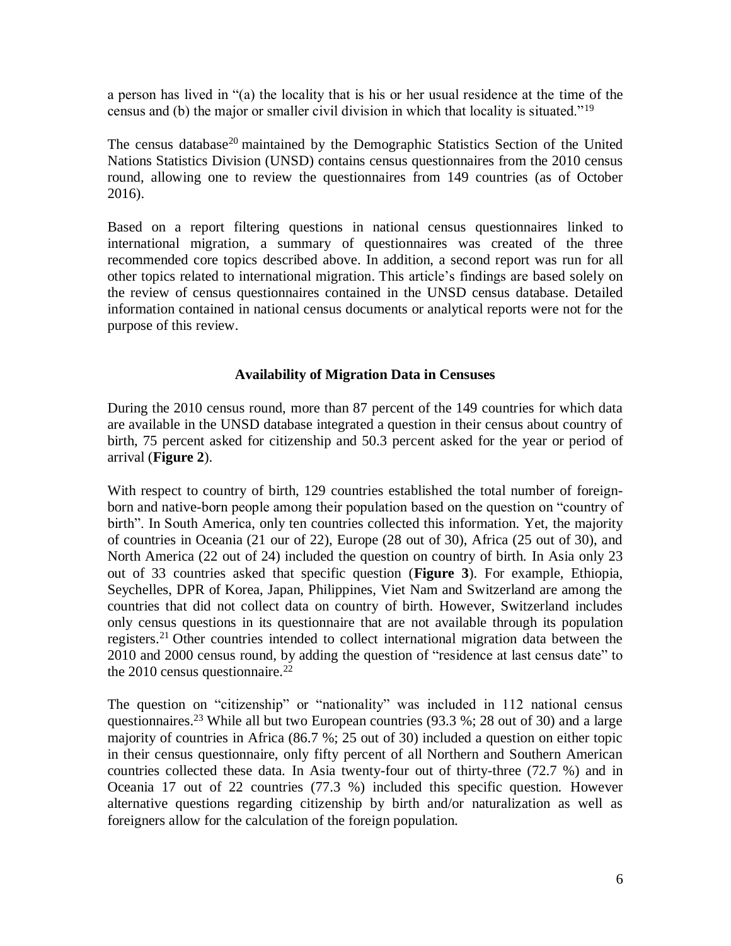a person has lived in "(a) the locality that is his or her usual residence at the time of the census and (b) the major or smaller civil division in which that locality is situated."<sup>19</sup>

The census database<sup>20</sup> maintained by the Demographic Statistics Section of the United Nations Statistics Division (UNSD) contains census questionnaires from the 2010 census round, allowing one to review the questionnaires from 149 countries (as of October 2016).

Based on a report filtering questions in national census questionnaires linked to international migration, a summary of questionnaires was created of the three recommended core topics described above. In addition, a second report was run for all other topics related to international migration. This article's findings are based solely on the review of census questionnaires contained in the UNSD census database. Detailed information contained in national census documents or analytical reports were not for the purpose of this review.

### **Availability of Migration Data in Censuses**

During the 2010 census round, more than 87 percent of the 149 countries for which data are available in the UNSD database integrated a question in their census about country of birth, 75 percent asked for citizenship and 50.3 percent asked for the year or period of arrival (**Figure 2**).

With respect to country of birth, 129 countries established the total number of foreignborn and native-born people among their population based on the question on "country of birth". In South America, only ten countries collected this information. Yet, the majority of countries in Oceania (21 our of 22), Europe (28 out of 30), Africa (25 out of 30), and North America (22 out of 24) included the question on country of birth. In Asia only 23 out of 33 countries asked that specific question (**Figure 3**). For example, Ethiopia, Seychelles, DPR of Korea, Japan, Philippines, Viet Nam and Switzerland are among the countries that did not collect data on country of birth. However, Switzerland includes only census questions in its questionnaire that are not available through its population registers.<sup>21</sup> Other countries intended to collect international migration data between the 2010 and 2000 census round, by adding the question of "residence at last census date" to the 2010 census questionnaire.<sup>22</sup>

The question on "citizenship" or "nationality" was included in 112 national census questionnaires.<sup>23</sup> While all but two European countries (93.3 %; 28 out of 30) and a large majority of countries in Africa (86.7 %; 25 out of 30) included a question on either topic in their census questionnaire, only fifty percent of all Northern and Southern American countries collected these data. In Asia twenty-four out of thirty-three (72.7 %) and in Oceania 17 out of 22 countries (77.3 %) included this specific question. However alternative questions regarding citizenship by birth and/or naturalization as well as foreigners allow for the calculation of the foreign population.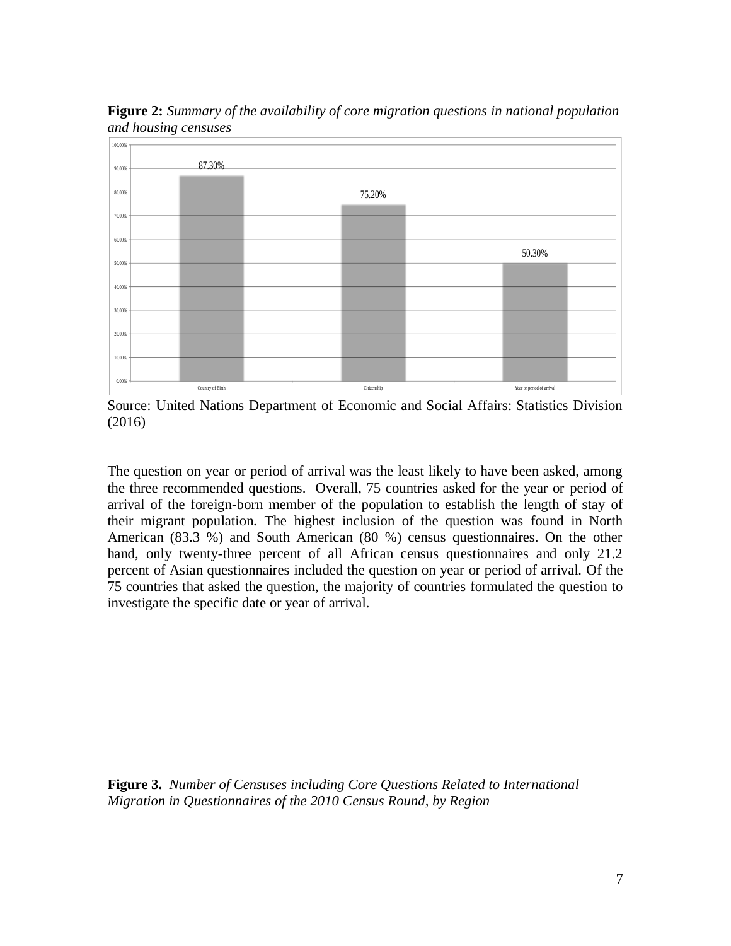

**Figure 2:** *Summary of the availability of core migration questions in national population and housing censuses*

Source: United Nations Department of Economic and Social Affairs: Statistics Division (2016)

The question on year or period of arrival was the least likely to have been asked, among the three recommended questions. Overall, 75 countries asked for the year or period of arrival of the foreign-born member of the population to establish the length of stay of their migrant population. The highest inclusion of the question was found in North American (83.3 %) and South American (80 %) census questionnaires. On the other hand, only twenty-three percent of all African census questionnaires and only 21.2 percent of Asian questionnaires included the question on year or period of arrival. Of the 75 countries that asked the question, the majority of countries formulated the question to investigate the specific date or year of arrival.

**Figure 3.** *Number of Censuses including Core Questions Related to International Migration in Questionnaires of the 2010 Census Round, by Region*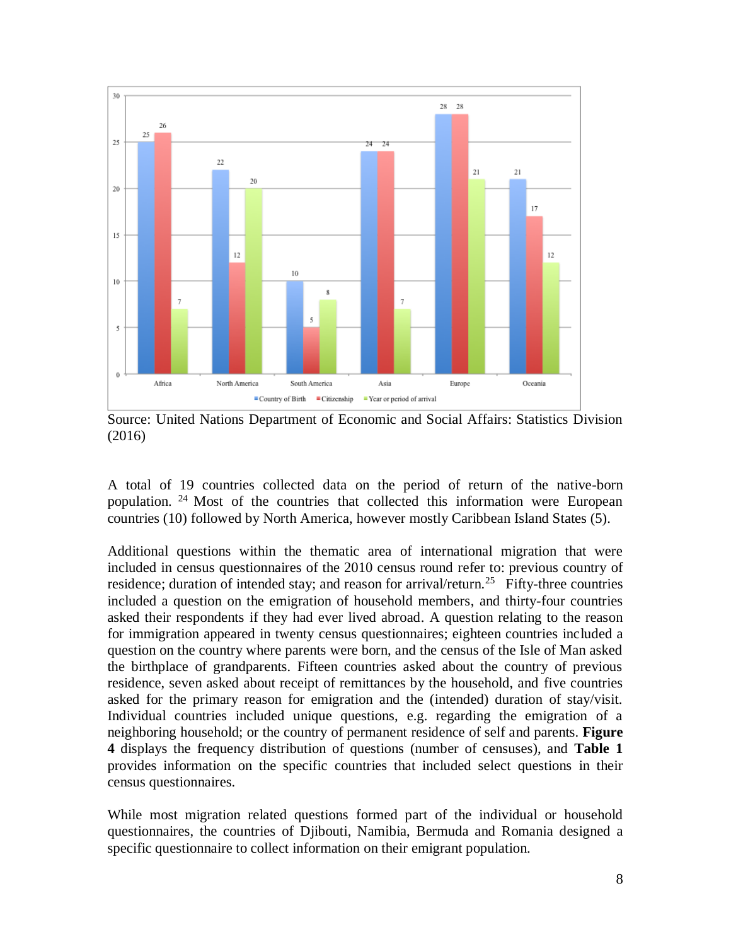

Source: United Nations Department of Economic and Social Affairs: Statistics Division (2016)

A total of 19 countries collected data on the period of return of the native-born population. <sup>24</sup> Most of the countries that collected this information were European countries (10) followed by North America, however mostly Caribbean Island States (5).

Additional questions within the thematic area of international migration that were included in census questionnaires of the 2010 census round refer to: previous country of residence; duration of intended stay; and reason for arrival/return.<sup>25</sup> Fifty-three countries included a question on the emigration of household members, and thirty-four countries asked their respondents if they had ever lived abroad. A question relating to the reason for immigration appeared in twenty census questionnaires; eighteen countries included a question on the country where parents were born, and the census of the Isle of Man asked the birthplace of grandparents. Fifteen countries asked about the country of previous residence, seven asked about receipt of remittances by the household, and five countries asked for the primary reason for emigration and the (intended) duration of stay/visit. Individual countries included unique questions, e.g. regarding the emigration of a neighboring household; or the country of permanent residence of self and parents. **Figure 4** displays the frequency distribution of questions (number of censuses), and **Table 1** provides information on the specific countries that included select questions in their census questionnaires.

While most migration related questions formed part of the individual or household questionnaires, the countries of Djibouti, Namibia, Bermuda and Romania designed a specific questionnaire to collect information on their emigrant population.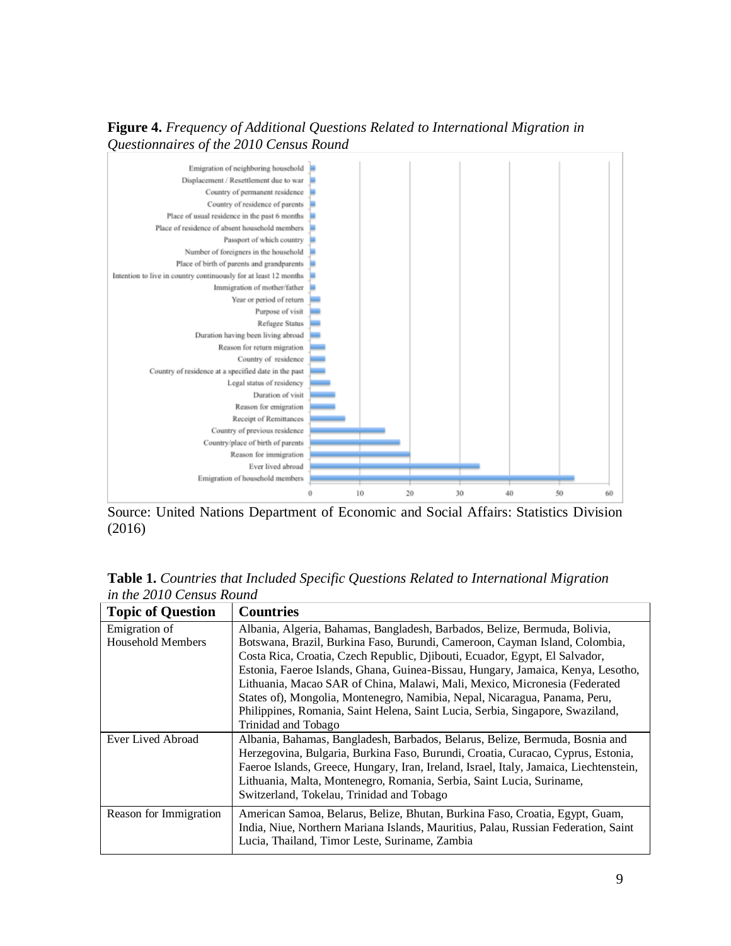



Source: United Nations Department of Economic and Social Affairs: Statistics Division (2016)

**Table 1.** *Countries that Included Specific Questions Related to International Migration in the 2010 Census Round*

| <b>Topic of Question</b> | <b>Countries</b>                                                                       |
|--------------------------|----------------------------------------------------------------------------------------|
| Emigration of            | Albania, Algeria, Bahamas, Bangladesh, Barbados, Belize, Bermuda, Bolivia,             |
| <b>Household Members</b> | Botswana, Brazil, Burkina Faso, Burundi, Cameroon, Cayman Island, Colombia,            |
|                          | Costa Rica, Croatia, Czech Republic, Djibouti, Ecuador, Egypt, El Salvador,            |
|                          | Estonia, Faeroe Islands, Ghana, Guinea-Bissau, Hungary, Jamaica, Kenya, Lesotho,       |
|                          | Lithuania, Macao SAR of China, Malawi, Mali, Mexico, Micronesia (Federated             |
|                          | States of), Mongolia, Montenegro, Namibia, Nepal, Nicaragua, Panama, Peru,             |
|                          | Philippines, Romania, Saint Helena, Saint Lucia, Serbia, Singapore, Swaziland,         |
|                          | Trinidad and Tobago                                                                    |
| Ever Lived Abroad        | Albania, Bahamas, Bangladesh, Barbados, Belarus, Belize, Bermuda, Bosnia and           |
|                          | Herzegovina, Bulgaria, Burkina Faso, Burundi, Croatia, Curacao, Cyprus, Estonia,       |
|                          | Faeroe Islands, Greece, Hungary, Iran, Ireland, Israel, Italy, Jamaica, Liechtenstein, |
|                          | Lithuania, Malta, Montenegro, Romania, Serbia, Saint Lucia, Suriname,                  |
|                          | Switzerland, Tokelau, Trinidad and Tobago                                              |
| Reason for Immigration   | American Samoa, Belarus, Belize, Bhutan, Burkina Faso, Croatia, Egypt, Guam,           |
|                          | India, Niue, Northern Mariana Islands, Mauritius, Palau, Russian Federation, Saint     |
|                          | Lucia, Thailand, Timor Leste, Suriname, Zambia                                         |
|                          |                                                                                        |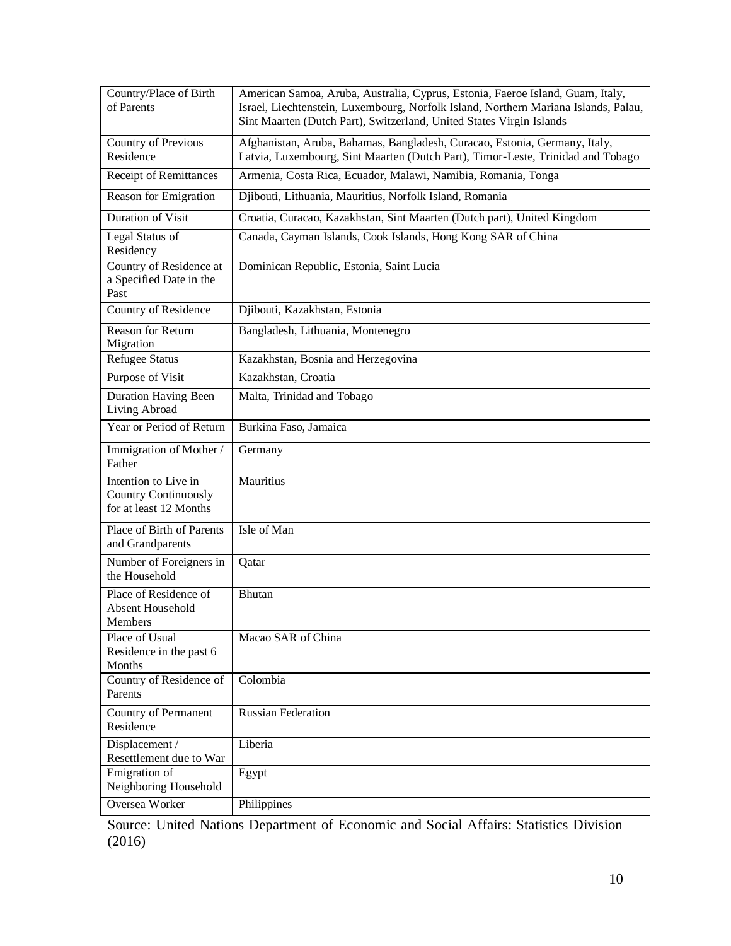| Country/Place of Birth<br>of Parents                                          | American Samoa, Aruba, Australia, Cyprus, Estonia, Faeroe Island, Guam, Italy,<br>Israel, Liechtenstein, Luxembourg, Norfolk Island, Northern Mariana Islands, Palau,<br>Sint Maarten (Dutch Part), Switzerland, United States Virgin Islands |
|-------------------------------------------------------------------------------|-----------------------------------------------------------------------------------------------------------------------------------------------------------------------------------------------------------------------------------------------|
| Country of Previous<br>Residence                                              | Afghanistan, Aruba, Bahamas, Bangladesh, Curacao, Estonia, Germany, Italy,<br>Latvia, Luxembourg, Sint Maarten (Dutch Part), Timor-Leste, Trinidad and Tobago                                                                                 |
| Receipt of Remittances                                                        | Armenia, Costa Rica, Ecuador, Malawi, Namibia, Romania, Tonga                                                                                                                                                                                 |
| Reason for Emigration                                                         | Djibouti, Lithuania, Mauritius, Norfolk Island, Romania                                                                                                                                                                                       |
| <b>Duration of Visit</b>                                                      | Croatia, Curacao, Kazakhstan, Sint Maarten (Dutch part), United Kingdom                                                                                                                                                                       |
| Legal Status of<br>Residency                                                  | Canada, Cayman Islands, Cook Islands, Hong Kong SAR of China                                                                                                                                                                                  |
| Country of Residence at<br>a Specified Date in the<br>Past                    | Dominican Republic, Estonia, Saint Lucia                                                                                                                                                                                                      |
| Country of Residence                                                          | Djibouti, Kazakhstan, Estonia                                                                                                                                                                                                                 |
| <b>Reason for Return</b><br>Migration                                         | Bangladesh, Lithuania, Montenegro                                                                                                                                                                                                             |
| <b>Refugee Status</b>                                                         | Kazakhstan, Bosnia and Herzegovina                                                                                                                                                                                                            |
| Purpose of Visit                                                              | Kazakhstan, Croatia                                                                                                                                                                                                                           |
| Duration Having Been<br>Living Abroad                                         | Malta, Trinidad and Tobago                                                                                                                                                                                                                    |
| Year or Period of Return                                                      | Burkina Faso, Jamaica                                                                                                                                                                                                                         |
| Immigration of Mother /<br>Father                                             | Germany                                                                                                                                                                                                                                       |
| Intention to Live in<br><b>Country Continuously</b><br>for at least 12 Months | Mauritius                                                                                                                                                                                                                                     |
| Place of Birth of Parents<br>and Grandparents                                 | Isle of Man                                                                                                                                                                                                                                   |
| Number of Foreigners in<br>the Household                                      | Qatar                                                                                                                                                                                                                                         |
| Place of Residence of<br>Absent Household<br>Members                          | <b>Bhutan</b>                                                                                                                                                                                                                                 |
| Place of Usual<br>Residence in the past 6<br>Months                           | Macao SAR of China                                                                                                                                                                                                                            |
| Country of Residence of<br>Parents                                            | Colombia                                                                                                                                                                                                                                      |
| Country of Permanent<br>Residence                                             | <b>Russian Federation</b>                                                                                                                                                                                                                     |
| Displacement /<br>Resettlement due to War                                     | Liberia                                                                                                                                                                                                                                       |
| Emigration of<br>Neighboring Household                                        | Egypt                                                                                                                                                                                                                                         |
| Oversea Worker                                                                | Philippines                                                                                                                                                                                                                                   |

Source: United Nations Department of Economic and Social Affairs: Statistics Division (2016)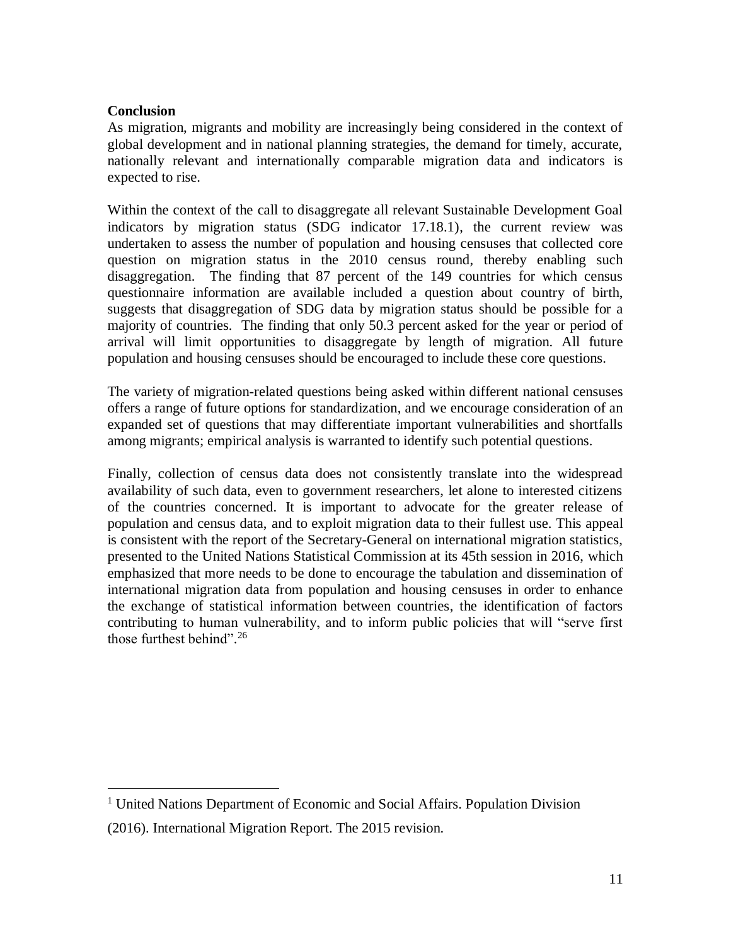## **Conclusion**

 $\overline{a}$ 

As migration, migrants and mobility are increasingly being considered in the context of global development and in national planning strategies, the demand for timely, accurate, nationally relevant and internationally comparable migration data and indicators is expected to rise.

Within the context of the call to disaggregate all relevant Sustainable Development Goal indicators by migration status (SDG indicator 17.18.1), the current review was undertaken to assess the number of population and housing censuses that collected core question on migration status in the 2010 census round, thereby enabling such disaggregation. The finding that 87 percent of the 149 countries for which census questionnaire information are available included a question about country of birth, suggests that disaggregation of SDG data by migration status should be possible for a majority of countries. The finding that only 50.3 percent asked for the year or period of arrival will limit opportunities to disaggregate by length of migration. All future population and housing censuses should be encouraged to include these core questions.

The variety of migration-related questions being asked within different national censuses offers a range of future options for standardization, and we encourage consideration of an expanded set of questions that may differentiate important vulnerabilities and shortfalls among migrants; empirical analysis is warranted to identify such potential questions.

Finally, collection of census data does not consistently translate into the widespread availability of such data, even to government researchers, let alone to interested citizens of the countries concerned. It is important to advocate for the greater release of population and census data, and to exploit migration data to their fullest use. This appeal is consistent with the report of the Secretary-General on international migration statistics, presented to the United Nations Statistical Commission at its 45th session in 2016, which emphasized that more needs to be done to encourage the tabulation and dissemination of international migration data from population and housing censuses in order to enhance the exchange of statistical information between countries, the identification of factors contributing to human vulnerability, and to inform public policies that will "serve first those furthest behind". 26

<sup>&</sup>lt;sup>1</sup> United Nations Department of Economic and Social Affairs. Population Division (2016). International Migration Report. The 2015 revision.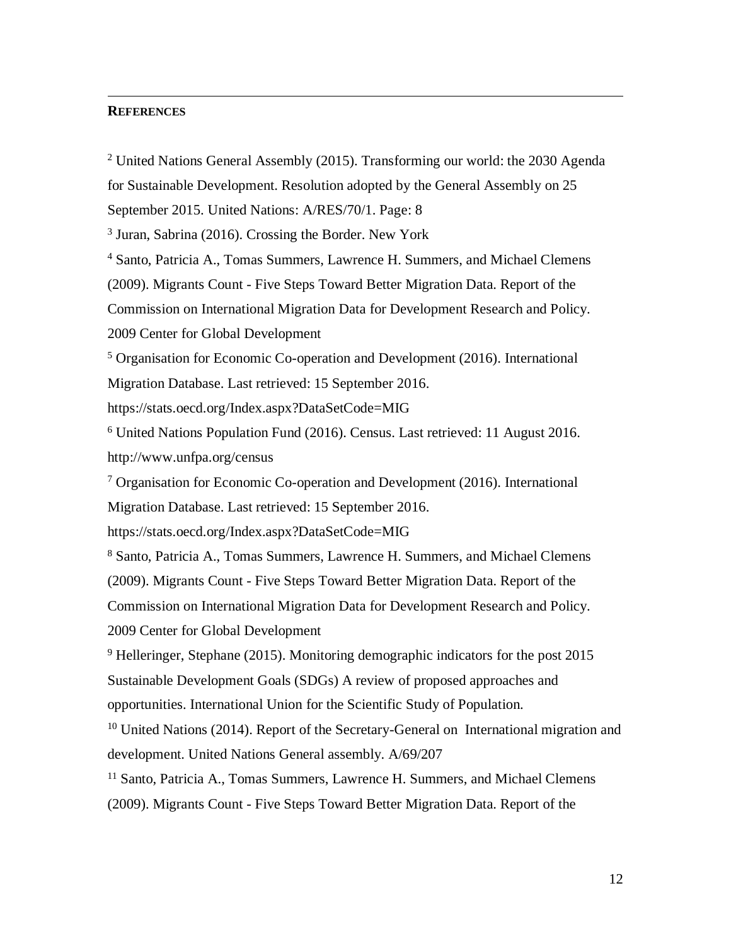#### **REFERENCES**

 $\overline{a}$ 

<sup>2</sup> United Nations General Assembly (2015). Transforming our world: the 2030 Agenda

for Sustainable Development. Resolution adopted by the General Assembly on 25

September 2015. United Nations: A/RES/70/1. Page: 8

<sup>3</sup> Juran, Sabrina (2016). Crossing the Border. New York

<sup>4</sup> Santo, Patricia A., Tomas Summers, Lawrence H. Summers, and Michael Clemens

(2009). Migrants Count - Five Steps Toward Better Migration Data. Report of the

Commission on International Migration Data for Development Research and Policy.

2009 Center for Global Development

<sup>5</sup> Organisation for Economic Co-operation and Development (2016). International Migration Database. Last retrieved: 15 September 2016.

https://stats.oecd.org/Index.aspx?DataSetCode=MIG

<sup>6</sup> United Nations Population Fund (2016). Census. Last retrieved: 11 August 2016. http://www.unfpa.org/census

 $7$  Organisation for Economic Co-operation and Development (2016). International Migration Database. Last retrieved: 15 September 2016.

https://stats.oecd.org/Index.aspx?DataSetCode=MIG

<sup>8</sup> Santo, Patricia A., Tomas Summers, Lawrence H. Summers, and Michael Clemens (2009). Migrants Count - Five Steps Toward Better Migration Data. Report of the Commission on International Migration Data for Development Research and Policy. 2009 Center for Global Development

<sup>9</sup> Helleringer, Stephane (2015). Monitoring demographic indicators for the post 2015 Sustainable Development Goals (SDGs) A review of proposed approaches and opportunities. International Union for the Scientific Study of Population.

<sup>10</sup> United Nations (2014). Report of the Secretary-General on International migration and development. United Nations General assembly. A/69/207

<sup>11</sup> Santo, Patricia A., Tomas Summers, Lawrence H. Summers, and Michael Clemens (2009). Migrants Count - Five Steps Toward Better Migration Data. Report of the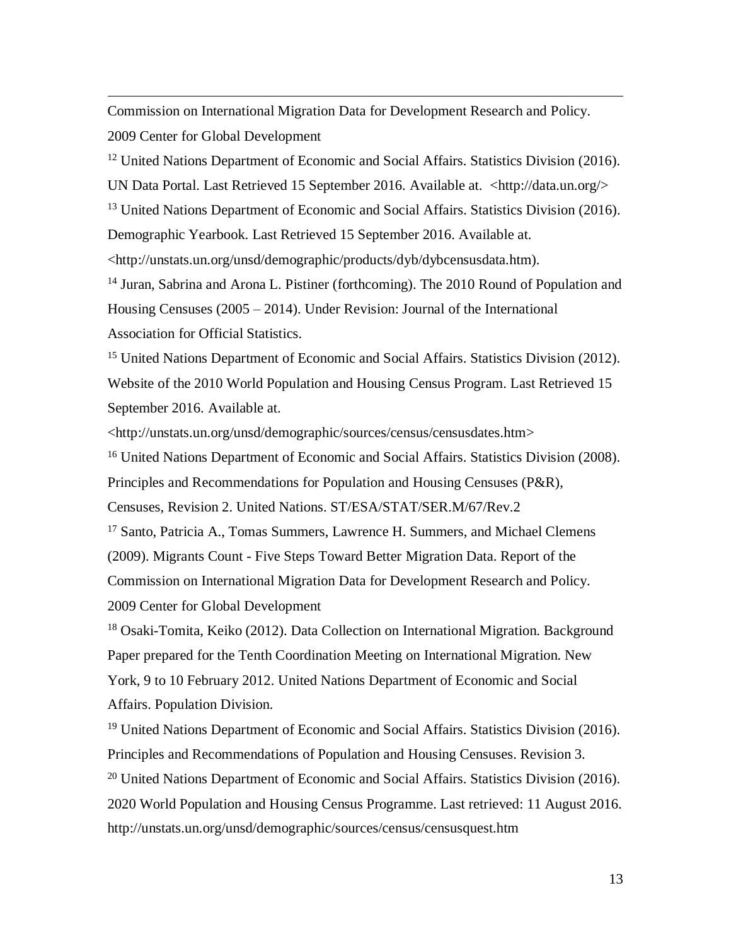Commission on International Migration Data for Development Research and Policy. 2009 Center for Global Development

 $\overline{a}$ 

<sup>12</sup> United Nations Department of Economic and Social Affairs. Statistics Division (2016). UN Data Portal. Last Retrieved 15 September 2016. Available at. <http://data.un.org/> <sup>13</sup> United Nations Department of Economic and Social Affairs. Statistics Division (2016). Demographic Yearbook. Last Retrieved 15 September 2016. Available at.

<http://unstats.un.org/unsd/demographic/products/dyb/dybcensusdata.htm).

<sup>14</sup> Juran, Sabrina and Arona L. Pistiner (forthcoming). The 2010 Round of Population and Housing Censuses (2005 – 2014). Under Revision: Journal of the International Association for Official Statistics.

<sup>15</sup> United Nations Department of Economic and Social Affairs. Statistics Division (2012). Website of the 2010 World Population and Housing Census Program. Last Retrieved 15 September 2016. Available at.

<http://unstats.un.org/unsd/demographic/sources/census/censusdates.htm>

<sup>16</sup> United Nations Department of Economic and Social Affairs. Statistics Division (2008). Principles and Recommendations for Population and Housing Censuses (P&R),

Censuses, Revision 2. United Nations. ST/ESA/STAT/SER.M/67/Rev.2

<sup>17</sup> Santo, Patricia A., Tomas Summers, Lawrence H. Summers, and Michael Clemens (2009). Migrants Count - Five Steps Toward Better Migration Data. Report of the Commission on International Migration Data for Development Research and Policy. 2009 Center for Global Development

<sup>18</sup> Osaki-Tomita, Keiko (2012). Data Collection on International Migration. Background Paper prepared for the Tenth Coordination Meeting on International Migration. New York, 9 to 10 February 2012. United Nations Department of Economic and Social Affairs. Population Division.

<sup>19</sup> United Nations Department of Economic and Social Affairs. Statistics Division (2016). Principles and Recommendations of Population and Housing Censuses. Revision 3.  $20$  United Nations Department of Economic and Social Affairs. Statistics Division (2016). 2020 World Population and Housing Census Programme. Last retrieved: 11 August 2016. <http://unstats.un.org/unsd/demographic/sources/census/censusquest.htm>